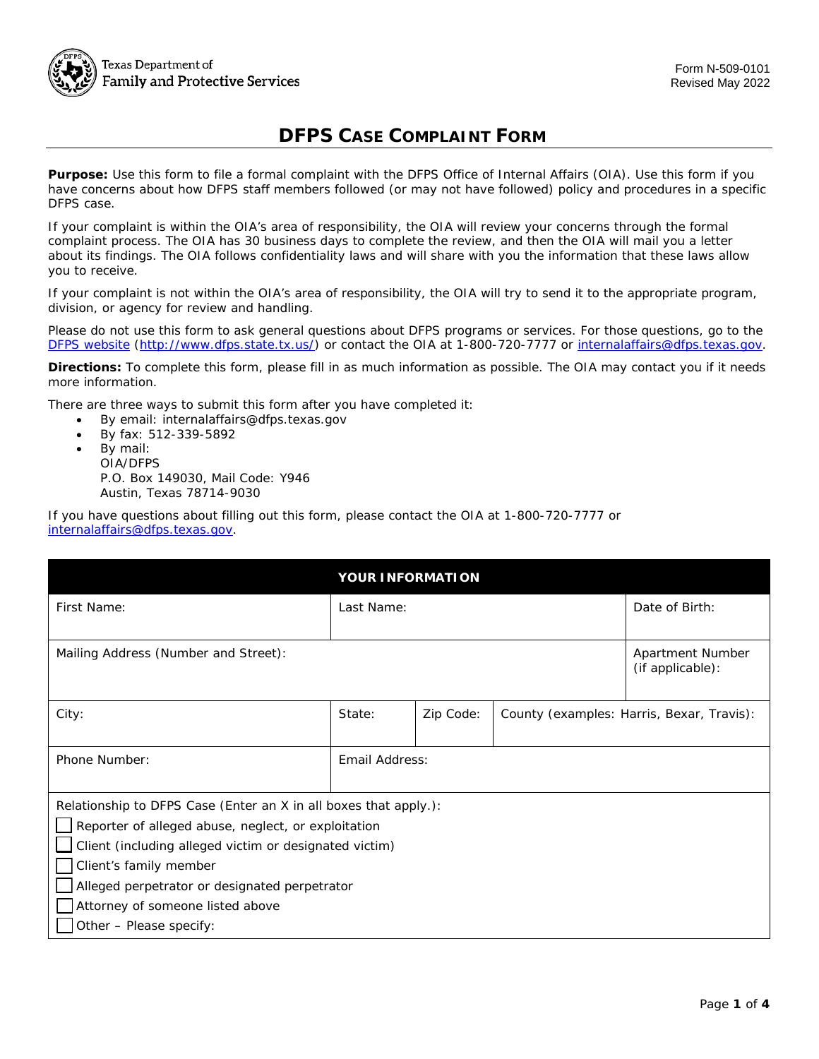

## **DFPS CASE COMPLAINT FORM**

 **Purpose:** Use this form to file a formal complaint with the DFPS Office of Internal Affairs (OIA). Use this form if you have concerns about how DFPS staff members followed (or may not have followed) policy and procedures in a specific DFPS case.

 If your complaint is within the OIA's area of responsibility, the OIA will review your concerns through the formal complaint process. The OIA has 30 business days to complete the review, and then the OIA will mail you a letter about its findings. The OIA follows confidentiality laws and will share with you the information that these laws allow you to receive.

 If your complaint is not within the OIA's area of responsibility, the OIA will try to send it to the appropriate program, division, or agency for review and handling.

 Please do not use this form to ask general questions about DFPS programs or services. For those questions, go to the [DFPS website \(http://www.dfps.state.tx.us/\)](http://www.dfps.state.tx.us/) or contact the OIA at 1-800-720-7777 or [internalaffairs@dfps.texas.gov.](mailto:internalaffairs@dfps.texas.gov)

 **Directions:** To complete this form, please fill in as much information as possible. The OIA may contact you if it needs more information.

more information.<br>There are three ways to submit this form after you have completed it:

- By email: internalaffairs@dfps.texas.gov
- By fax: 512-339-5892
- P.O. Box 149030, Mail Code: Y946 Austin, Texas 78714-9030 • By mail: OIA/DFPS

 If you have questions about filling out this form, please contact the OIA at 1-800-720-7777 or [internalaffairs@dfps.texas.gov.](mailto:internalaffairs@dfps.texas.gov)

| <b>YOUR INFORMATION</b>                                          |                |           |  |                                           |  |
|------------------------------------------------------------------|----------------|-----------|--|-------------------------------------------|--|
| First Name:                                                      | Last Name:     |           |  | Date of Birth:                            |  |
|                                                                  |                |           |  |                                           |  |
| Mailing Address (Number and Street):                             |                |           |  | Apartment Number<br>(if applicable):      |  |
| City:                                                            | State:         | Zip Code: |  | County (examples: Harris, Bexar, Travis): |  |
| Phone Number:                                                    | Email Address: |           |  |                                           |  |
| Relationship to DFPS Case (Enter an X in all boxes that apply.): |                |           |  |                                           |  |
| $\Box$ Reporter of alleged abuse, neglect, or exploitation       |                |           |  |                                           |  |
| Client (including alleged victim or designated victim)           |                |           |  |                                           |  |
| Client's family member                                           |                |           |  |                                           |  |
| Alleged perpetrator or designated perpetrator                    |                |           |  |                                           |  |
| Attorney of someone listed above                                 |                |           |  |                                           |  |
| Other - Please specify:                                          |                |           |  |                                           |  |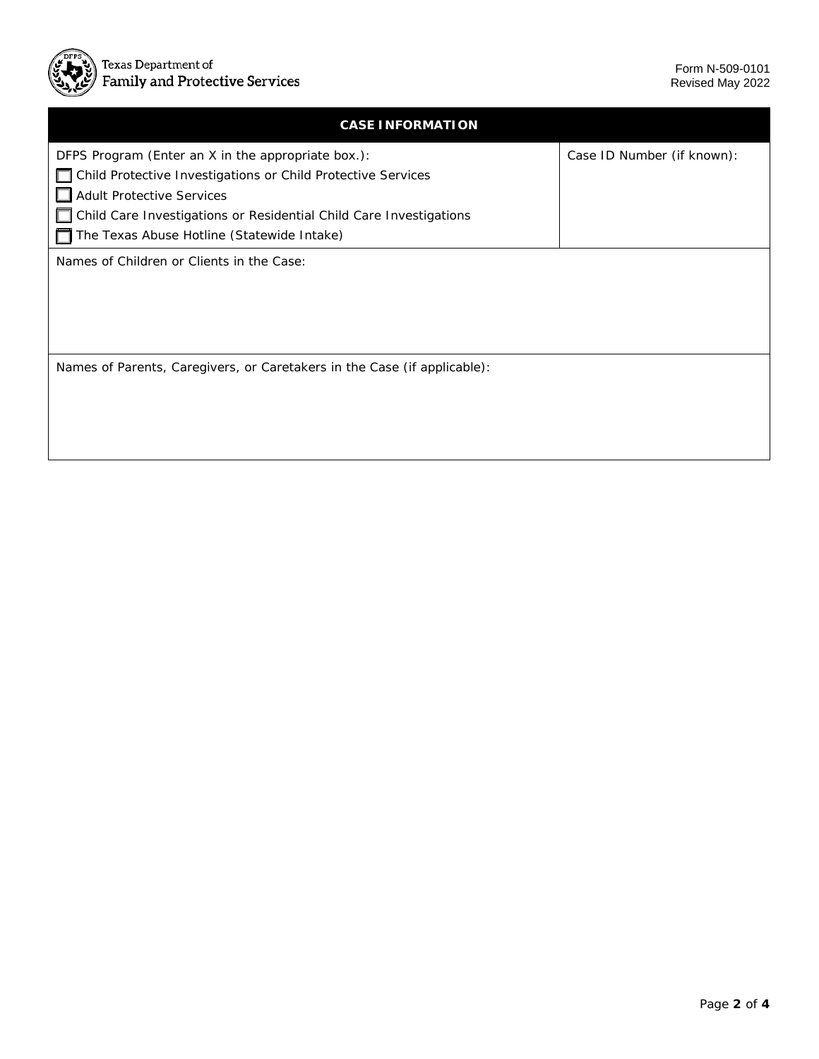

| <b>CASE INFORMATION</b>                                                  |                            |  |  |  |
|--------------------------------------------------------------------------|----------------------------|--|--|--|
| DFPS Program (Enter an X in the appropriate box.):                       | Case ID Number (if known): |  |  |  |
| Child Protective Investigations or Child Protective Services<br>П        |                            |  |  |  |
| <b>Adult Protective Services</b>                                         |                            |  |  |  |
| Child Care Investigations or Residential Child Care Investigations       |                            |  |  |  |
| The Texas Abuse Hotline (Statewide Intake)                               |                            |  |  |  |
| Names of Children or Clients in the Case:                                |                            |  |  |  |
| Names of Parents, Caregivers, or Caretakers in the Case (if applicable): |                            |  |  |  |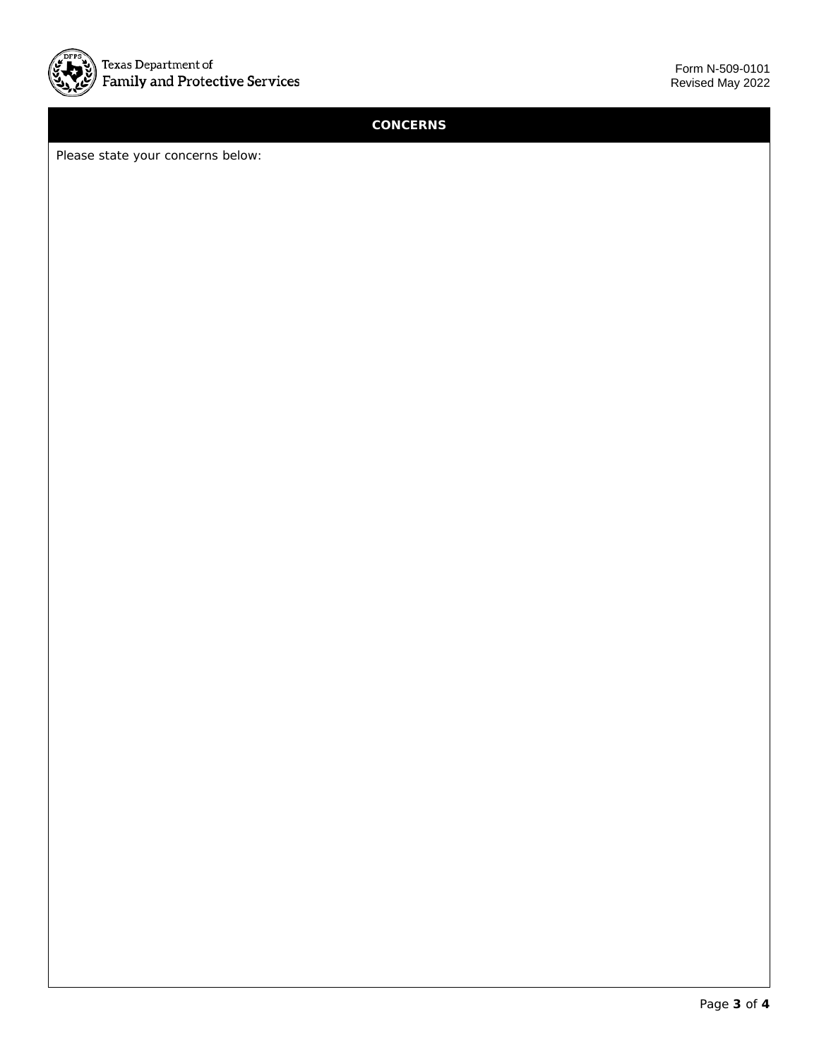

## **CONCERNS**

Please state your concerns below: